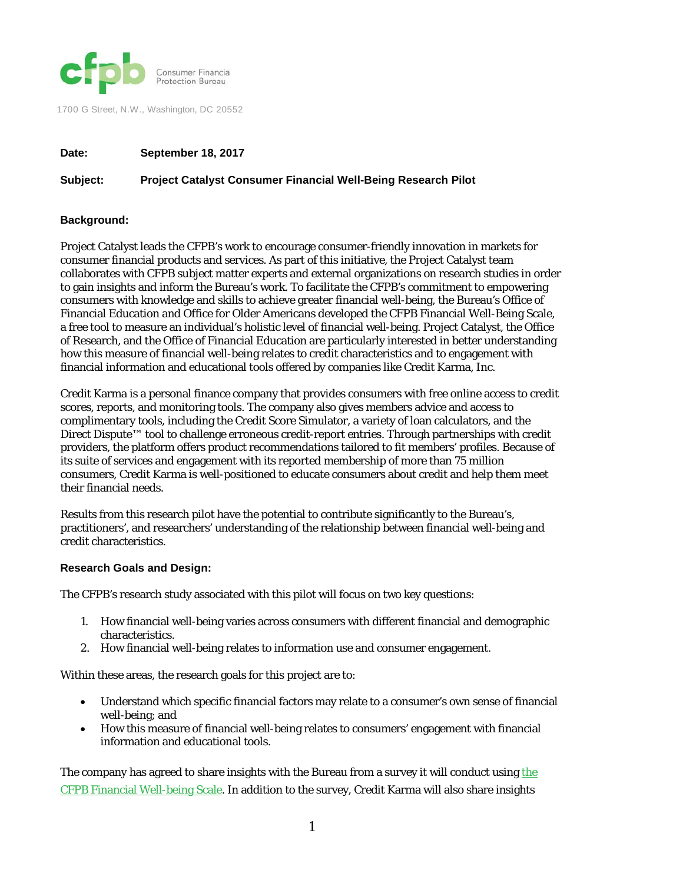

1700 G Street, N.W., Washington, DC 20552

## **Date: September 18, 2017**

## **Subject: Project Catalyst Consumer Financial Well-Being Research Pilot**

## **Background:**

Project Catalyst leads the CFPB's work to encourage consumer-friendly innovation in markets for consumer financial products and services. As part of this initiative, the Project Catalyst team collaborates with CFPB subject matter experts and external organizations on research studies in order to gain insights and inform the Bureau's work. To facilitate the CFPB's commitment to empowering consumers with knowledge and skills to achieve greater financial well-being, the Bureau's Office of Financial Education and Office for Older Americans developed the CFPB Financial Well-Being Scale, a free tool to measure an individual's holistic level of financial well-being. Project Catalyst, the Office of Research, and the Office of Financial Education are particularly interested in better understanding how this measure of financial well-being relates to credit characteristics and to engagement with financial information and educational tools offered by companies like Credit Karma, Inc.

Credit Karma is a personal finance company that provides consumers with free online access to credit scores, reports, and monitoring tools. The company also gives members advice and access to complimentary tools, including the Credit Score Simulator, a variety of loan calculators, and the Direct Dispute™ tool to challenge erroneous credit-report entries. Through partnerships with credit providers, the platform offers product recommendations tailored to fit members' profiles. Because of its suite of services and engagement with its reported membership of more than 75 million consumers, Credit Karma is well-positioned to educate consumers about credit and help them meet their financial needs.

Results from this research pilot have the potential to contribute significantly to the Bureau's, practitioners', and researchers' understanding of the relationship between financial well-being and credit characteristics.

## **Research Goals and Design:**

The CFPB's research study associated with this pilot will focus on two key questions:

- 1. How financial well-being varies across consumers with different financial and demographic characteristics.
- 2. How financial well-being relates to information use and consumer engagement.

Within these areas, the research goals for this project are to:

- Understand which specific financial factors may relate to a consumer's own sense of financial well-being; and
- How this measure of financial well-being relates to consumers' engagement with financial information and educational tools.

The company has agreed to share insights with the Bureau from a survey it will conduct using the [CFPB Financial Well-being Scale.](https://www.consumerfinance.gov/data-research/research-reports/financial-well-being-scale/) In addition to the survey, Credit Karma will also share insights